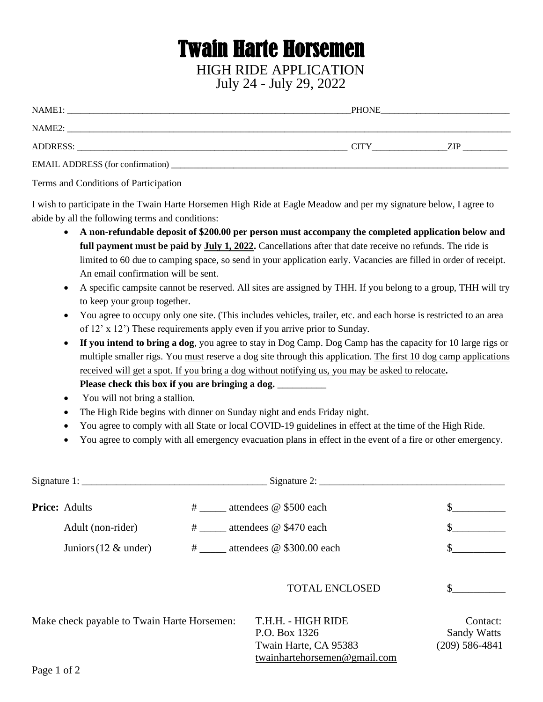## Twain Harte Horsemen HIGH RIDE APPLICATION July 24 - July 29, 2022

| NAME <sub>1</sub> :                     | <b>PHONE</b> |     |
|-----------------------------------------|--------------|-----|
| NAME2:                                  |              |     |
| ADDRESS:                                | CITY         | ZIP |
| <b>EMAIL ADDRESS</b> (for confirmation) |              |     |

Terms and Conditions of Participation

I wish to participate in the Twain Harte Horsemen High Ride at Eagle Meadow and per my signature below, I agree to abide by all the following terms and conditions:

- **A non-refundable deposit of \$200.00 per person must accompany the completed application below and full payment must be paid by July 1, 2022.** Cancellations after that date receive no refunds. The ride is limited to 60 due to camping space, so send in your application early. Vacancies are filled in order of receipt. An email confirmation will be sent.
- A specific campsite cannot be reserved. All sites are assigned by THH. If you belong to a group, THH will try to keep your group together.
- You agree to occupy only one site. (This includes vehicles, trailer, etc. and each horse is restricted to an area of 12' x 12') These requirements apply even if you arrive prior to Sunday.
- **If you intend to bring a dog**, you agree to stay in Dog Camp. Dog Camp has the capacity for 10 large rigs or multiple smaller rigs. You must reserve a dog site through this application. The first 10 dog camp applications received will get a spot. If you bring a dog without notifying us, you may be asked to relocate**. Please check this box if you are bringing a dog.** \_\_\_\_\_\_\_\_\_\_
- You will not bring a stallion.
- The High Ride begins with dinner on Sunday night and ends Friday night.
- You agree to comply with all State or local COVID-19 guidelines in effect at the time of the High Ride.
- You agree to comply with all emergency evacuation plans in effect in the event of a fire or other emergency.

| Signature 1:                                |  |                                                                                              |                                                      |
|---------------------------------------------|--|----------------------------------------------------------------------------------------------|------------------------------------------------------|
| <b>Price: Adults</b>                        |  | # attendees @ \$500 each                                                                     | \$                                                   |
| Adult (non-rider)                           |  | # attendees @ \$470 each                                                                     |                                                      |
| Juniors (12 $\&$ under)                     |  | # attendees @ \$300.00 each                                                                  |                                                      |
|                                             |  | <b>TOTAL ENCLOSED</b>                                                                        |                                                      |
| Make check payable to Twain Harte Horsemen: |  | T.H.H. - HIGH RIDE<br>P.O. Box 1326<br>Twain Harte, CA 95383<br>twainhartehorsemen@gmail.com | Contact:<br><b>Sandy Watts</b><br>$(209) 586 - 4841$ |